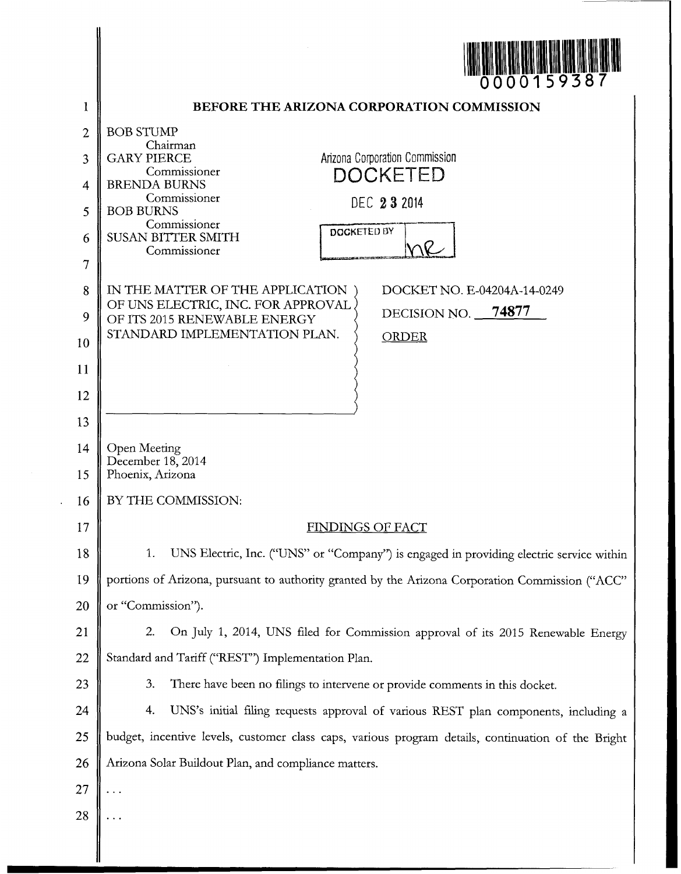| <b>THE REAL PROPERTY OF REAL PROPERTY</b><br>0000159387 |
|---------------------------------------------------------|
|---------------------------------------------------------|

|          | U U U U U J 7 J 0 1                                                                                |
|----------|----------------------------------------------------------------------------------------------------|
| 1        | BEFORE THE ARIZONA CORPORATION COMMISSION                                                          |
| 2        | <b>BOB STUMP</b><br>Chairman                                                                       |
| 3        | Arizona Corporation Commission<br><b>GARY PIERCE</b><br>Commissioner<br>DOCKETED                   |
| 4        | <b>BRENDA BURNS</b><br>Commissioner                                                                |
| 5        | DEC 23 2014<br><b>BOB BURNS</b>                                                                    |
| 6        | Commissioner<br>DOCKETED BY<br><b>SUSAN BITTER SMITH</b>                                           |
| 7        | Commissioner                                                                                       |
| 8        | IN THE MATTER OF THE APPLICATION<br>DOCKET NO. E-04204A-14-0249                                    |
| 9        | OF UNS ELECTRIC, INC. FOR APPROVAL<br>DECISION NO. 74877<br>OF ITS 2015 RENEWABLE ENERGY           |
| 10       | STANDARD IMPLEMENTATION PLAN.<br><b>ORDER</b>                                                      |
| 11       |                                                                                                    |
| 12       |                                                                                                    |
| 13       |                                                                                                    |
| 14<br>15 | Open Meeting<br>December 18, 2014<br>Phoenix, Arizona                                              |
| 16       | BY THE COMMISSION:                                                                                 |
| 17       | <b>FINDINGS OF FACT</b>                                                                            |
| 18       | UNS Electric, Inc. ("UNS" or "Company") is engaged in providing electric service within<br>1.      |
| 19       | portions of Arizona, pursuant to authority granted by the Arizona Corporation Commission ("ACC"    |
| 20       | or "Commission").                                                                                  |
| 21       | 2.<br>On July 1, 2014, UNS filed for Commission approval of its 2015 Renewable Energy              |
| 22       | Standard and Tariff ("REST") Implementation Plan.                                                  |
| 23       | 3.<br>There have been no filings to intervene or provide comments in this docket.                  |
| 24       | 4.<br>UNS's initial filing requests approval of various REST plan components, including a          |
| 25       | budget, incentive levels, customer class caps, various program details, continuation of the Bright |
| 26       | Arizona Solar Buildout Plan, and compliance matters.                                               |
| 27       |                                                                                                    |
| 28       |                                                                                                    |
|          |                                                                                                    |

╽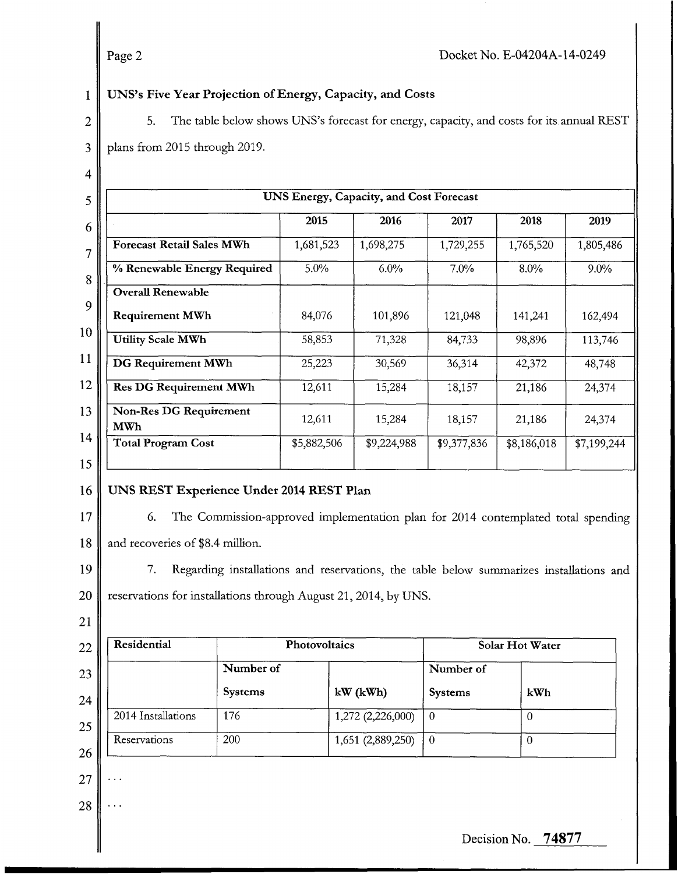#### 1 JNS's **Five Year Projection of Energy, Capacity, and Costs**

|                 | Page 2                                                                                         |             |                                                |             | Docket No. E-04204A-14-0249 |             |
|-----------------|------------------------------------------------------------------------------------------------|-------------|------------------------------------------------|-------------|-----------------------------|-------------|
| $\mathbf{1}$    | UNS's Five Year Projection of Energy, Capacity, and Costs                                      |             |                                                |             |                             |             |
| $\overline{2}$  | The table below shows UNS's forecast for energy, capacity, and costs for its annual REST<br>5. |             |                                                |             |                             |             |
| $\overline{3}$  | plans from 2015 through 2019.                                                                  |             |                                                |             |                             |             |
| $\overline{4}$  |                                                                                                |             |                                                |             |                             |             |
| 5               |                                                                                                |             | <b>UNS Energy, Capacity, and Cost Forecast</b> |             |                             |             |
| 6               |                                                                                                | 2015        | 2016                                           | 2017        | 2018                        | 2019        |
| $\overline{7}$  | <b>Forecast Retail Sales MWh</b>                                                               | 1,681,523   | 1,698,275                                      | 1,729,255   | 1,765,520                   | 1,805,486   |
| $8\phantom{.}$  | % Renewable Energy Required                                                                    | 5.0%        | 6.0%                                           | 7.0%        | 8.0%                        | $9.0\%$     |
| 9               | <b>Overall Renewable</b>                                                                       |             |                                                |             |                             |             |
| 10 <sup>°</sup> | <b>Requirement MWh</b>                                                                         | 84,076      | 101,896                                        | 121,048     | 141,241                     | 162,494     |
|                 | <b>Utility Scale MWh</b>                                                                       | 58,853      | 71,328                                         | 84,733      | 98,896                      | 113,746     |
| 11              | DG Requirement MWh                                                                             | 25,223      | 30,569                                         | 36,314      | 42,372                      | 48,748      |
| $\overline{12}$ | Res DG Requirement MWh                                                                         | 12,611      | 15,284                                         | 18,157      | 21,186                      | 24,374      |
| 13              | Non-Res DG Requirement<br><b>MWh</b>                                                           | 12,611      | 15,284                                         | 18,157      | 21,186                      | 24,374      |
| 14<br>15        | <b>Total Program Cost</b>                                                                      | \$5,882,506 | \$9,224,988                                    | \$9,377,836 | \$8,186,018                 | \$7,199,244 |
|                 |                                                                                                |             |                                                |             |                             |             |

#### 16 JNS **REST Experience Under 2014 REST Plan**

17

18

6. The Commission-approved implementation plan for 2014 contemplated total spending and recoveries of \$8.4 million.

19 20 7. Regarding installations and reservations, the table below summarizes installations and reservations for installations through August 21, 2014, by UNS.

21

| Residential        |                | Photovoltaics     |                | Solar Hot Water |  |
|--------------------|----------------|-------------------|----------------|-----------------|--|
|                    | Number of      |                   | Number of      |                 |  |
|                    | <b>Systems</b> | $kW$ ( $kWh$ )    | <b>Systems</b> | kWh             |  |
| 2014 Installations | 176            | 1,272 (2,226,000) | -0             |                 |  |
| Reservations       | 200            | 1,651 (2,889,250) | - 0            |                 |  |

27

..

28 ..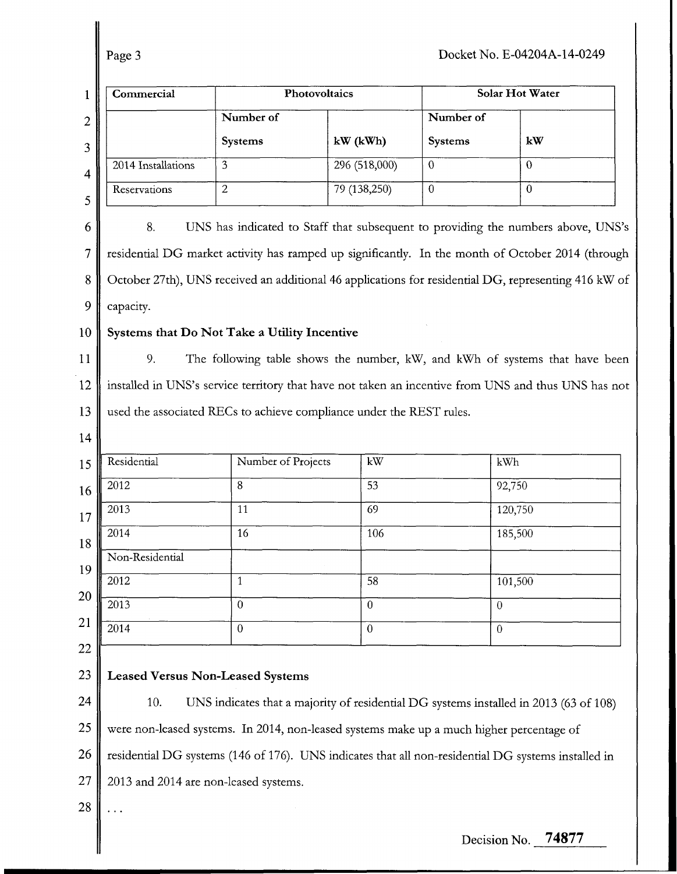| Commercial<br>Photovoltaics                                                                          |                |                                                                                  |                    | Solar Hot Water                                                                                                                                                                                                                                                                                                                                                                                                                                                                                                                     |  |  |  |  |  |
|------------------------------------------------------------------------------------------------------|----------------|----------------------------------------------------------------------------------|--------------------|-------------------------------------------------------------------------------------------------------------------------------------------------------------------------------------------------------------------------------------------------------------------------------------------------------------------------------------------------------------------------------------------------------------------------------------------------------------------------------------------------------------------------------------|--|--|--|--|--|
|                                                                                                      | Number of      |                                                                                  | Number of          |                                                                                                                                                                                                                                                                                                                                                                                                                                                                                                                                     |  |  |  |  |  |
|                                                                                                      | Systems        | $kW$ ( $kWh$ )                                                                   | Systems            | kW                                                                                                                                                                                                                                                                                                                                                                                                                                                                                                                                  |  |  |  |  |  |
| 2014 Installations                                                                                   | 3              | 296 (518,000)                                                                    | $\theta$           | $\theta$                                                                                                                                                                                                                                                                                                                                                                                                                                                                                                                            |  |  |  |  |  |
| Reservations                                                                                         | $\overline{2}$ | 79 (138,250)                                                                     | $\overline{0}$     | $\overline{0}$                                                                                                                                                                                                                                                                                                                                                                                                                                                                                                                      |  |  |  |  |  |
| 8.                                                                                                   |                |                                                                                  |                    |                                                                                                                                                                                                                                                                                                                                                                                                                                                                                                                                     |  |  |  |  |  |
| residential DG market activity has ramped up significantly. In the month of October 2014 (through    |                |                                                                                  |                    |                                                                                                                                                                                                                                                                                                                                                                                                                                                                                                                                     |  |  |  |  |  |
| October 27th), UNS received an additional 46 applications for residential DG, representing 416 kW of |                |                                                                                  |                    |                                                                                                                                                                                                                                                                                                                                                                                                                                                                                                                                     |  |  |  |  |  |
| capacity.                                                                                            |                |                                                                                  |                    |                                                                                                                                                                                                                                                                                                                                                                                                                                                                                                                                     |  |  |  |  |  |
| Systems that Do Not Take a Utility Incentive                                                         |                |                                                                                  |                    |                                                                                                                                                                                                                                                                                                                                                                                                                                                                                                                                     |  |  |  |  |  |
| 9.                                                                                                   |                |                                                                                  |                    |                                                                                                                                                                                                                                                                                                                                                                                                                                                                                                                                     |  |  |  |  |  |
| installed in UNS's service territory that have not taken an incentive from UNS and thus UNS has not  |                |                                                                                  |                    |                                                                                                                                                                                                                                                                                                                                                                                                                                                                                                                                     |  |  |  |  |  |
|                                                                                                      |                |                                                                                  |                    |                                                                                                                                                                                                                                                                                                                                                                                                                                                                                                                                     |  |  |  |  |  |
|                                                                                                      |                |                                                                                  |                    |                                                                                                                                                                                                                                                                                                                                                                                                                                                                                                                                     |  |  |  |  |  |
| Residential                                                                                          |                | kW                                                                               |                    | kWh                                                                                                                                                                                                                                                                                                                                                                                                                                                                                                                                 |  |  |  |  |  |
| 2012                                                                                                 | 8              | 53                                                                               |                    | 92,750                                                                                                                                                                                                                                                                                                                                                                                                                                                                                                                              |  |  |  |  |  |
| 2013                                                                                                 | 11             | 69                                                                               |                    | 120,750                                                                                                                                                                                                                                                                                                                                                                                                                                                                                                                             |  |  |  |  |  |
| 2014                                                                                                 | 16             | 106                                                                              |                    | 185,500                                                                                                                                                                                                                                                                                                                                                                                                                                                                                                                             |  |  |  |  |  |
| Non-Residential                                                                                      |                |                                                                                  |                    |                                                                                                                                                                                                                                                                                                                                                                                                                                                                                                                                     |  |  |  |  |  |
| 2012                                                                                                 | $\mathbf{1}$   | 58                                                                               |                    | 101,500                                                                                                                                                                                                                                                                                                                                                                                                                                                                                                                             |  |  |  |  |  |
| 2013                                                                                                 | $\overline{0}$ | $\boldsymbol{0}$                                                                 | $\overline{0}$     |                                                                                                                                                                                                                                                                                                                                                                                                                                                                                                                                     |  |  |  |  |  |
| 2014                                                                                                 | $\mathbf{0}$   | $\boldsymbol{0}$                                                                 | $\overline{0}$     |                                                                                                                                                                                                                                                                                                                                                                                                                                                                                                                                     |  |  |  |  |  |
|                                                                                                      |                |                                                                                  |                    |                                                                                                                                                                                                                                                                                                                                                                                                                                                                                                                                     |  |  |  |  |  |
|                                                                                                      |                |                                                                                  |                    |                                                                                                                                                                                                                                                                                                                                                                                                                                                                                                                                     |  |  |  |  |  |
| 10.                                                                                                  |                |                                                                                  |                    |                                                                                                                                                                                                                                                                                                                                                                                                                                                                                                                                     |  |  |  |  |  |
|                                                                                                      |                |                                                                                  |                    |                                                                                                                                                                                                                                                                                                                                                                                                                                                                                                                                     |  |  |  |  |  |
|                                                                                                      |                |                                                                                  |                    |                                                                                                                                                                                                                                                                                                                                                                                                                                                                                                                                     |  |  |  |  |  |
|                                                                                                      |                |                                                                                  |                    |                                                                                                                                                                                                                                                                                                                                                                                                                                                                                                                                     |  |  |  |  |  |
|                                                                                                      |                |                                                                                  |                    |                                                                                                                                                                                                                                                                                                                                                                                                                                                                                                                                     |  |  |  |  |  |
|                                                                                                      |                | <b>Leased Versus Non-Leased Systems</b><br>2013 and 2014 are non-leased systems. | Number of Projects | UNS has indicated to Staff that subsequent to providing the numbers above, UNS's<br>The following table shows the number, kW, and kWh of systems that have been<br>used the associated RECs to achieve compliance under the REST rules.<br>UNS indicates that a majority of residential DG systems installed in 2013 (63 of 108)<br>were non-leased systems. In 2014, non-leased systems make up a much higher percentage of<br>residential DG systems (146 of 176). UNS indicates that all non-residential DG systems installed in |  |  |  |  |  |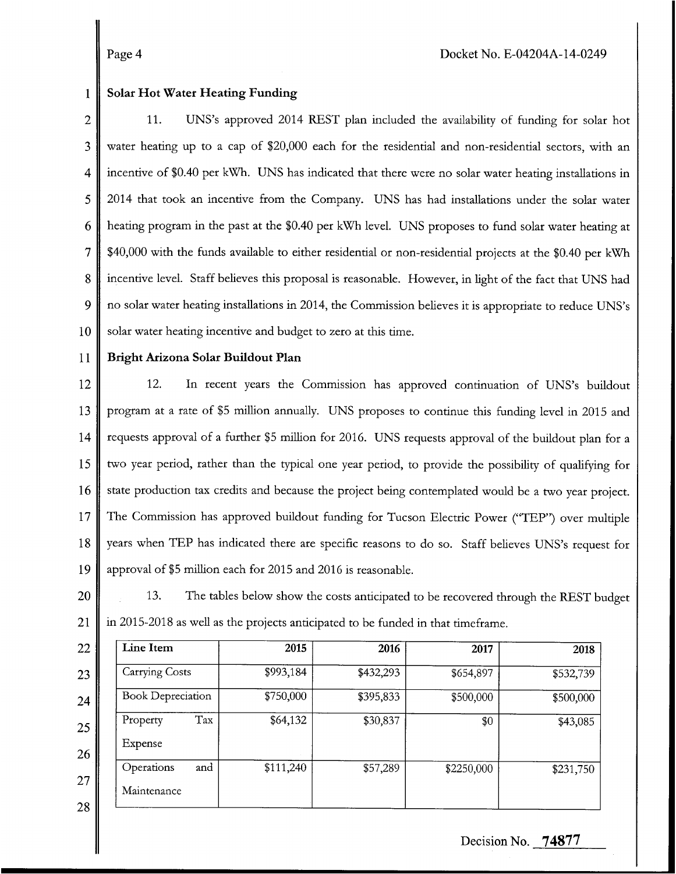#### 1 **Solar Hot Water Heating Funding**

2 3 4 *5*  6 7 8 9 10 11. UNS's approved 2014 REST plan included the availability of fundlng for solar hot water heating up to a cap of \$20,000 each for the residential and non-residential sectors, with an incentive of \$0.40 per **kwh.** UNS has indlcated that there were no solar water heating installations in 2014 that took an incentive from the Company. UNS has had installations under the solar water heating program in the past at the \$0.40 per **kwh** level. UNS proposes to fund solar water heating at \$40,000 with the funds available to either residential or non-residential projects at the \$0.40 per **kwh**  incentive level. Staff believes this proposal is reasonable. However, in light of the fact that UNS had no solar water heating installations in 2014, the Commission believes it is appropriate to reduce UNS's solar water heating incentive and budget to zero at this time.

11

### **Bright Arizona Solar Buildout Plan**

12 13 14 15 16 17 18 19 12. In recent years the Commission has approved continuation of UNS's buildout program at a rate of \$5 million annually. UNS proposes to continue ths fundlng level in 2015 and requests approval of a further \$5 million for 2016. UNS requests approval of the buildout plan for a two year period, rather than the typical one year period, to provide the possibility of qualifying for state production tax credlts and because the project being contemplated would be a two year project. The Commission has approved buildout funding for Tucson Electric Power ("TEP") over multiple years when TEP has indicated there are specific reasons to do so. Staff believes UNS's request for approval of \$5 million each for 2015 and 2016 is reasonable.

20

13. The tables below show the costs anticipated to be recovered through the REST budget in 2015-2018 as well as the projects anticipated to be funded in that timeframe. 21

| Line Item                | 2015      | 2016      | 2017       | 2018      |
|--------------------------|-----------|-----------|------------|-----------|
| <b>Carrying Costs</b>    | \$993,184 | \$432,293 | \$654,897  | \$532,739 |
| <b>Book Depreciation</b> | \$750,000 | \$395,833 | \$500,000  | \$500,000 |
| Tax<br>Property          | \$64,132  | \$30,837  | \$0        | \$43,085  |
| Expense                  |           |           |            |           |
| and<br>Operations        | \$111,240 | \$57,289  | \$2250,000 | \$231,750 |
| Maintenance              |           |           |            |           |
|                          |           |           |            |           |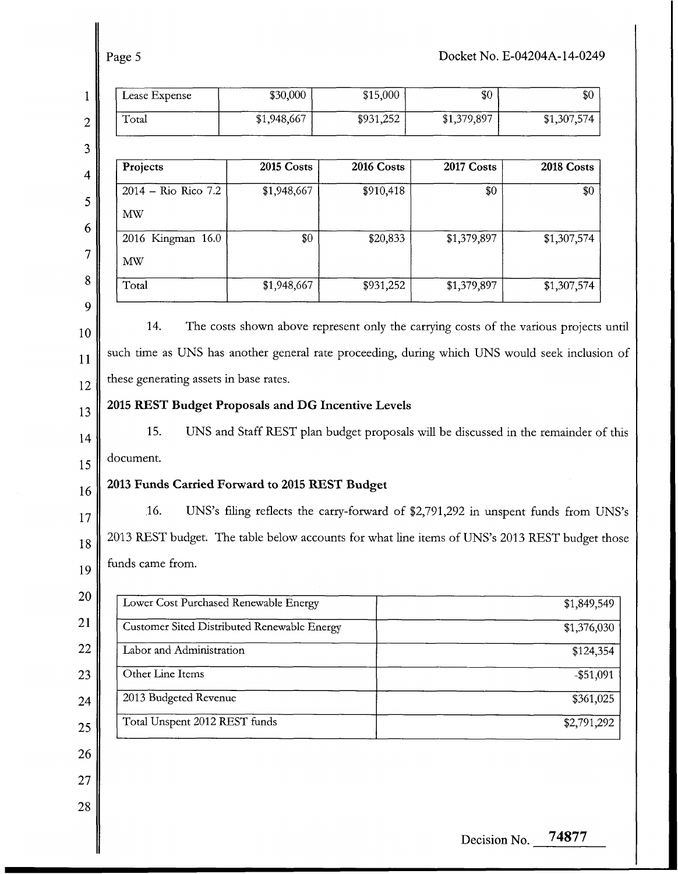| Lease Expense                                                                                                                                           | \$30,000    | \$15,000   | \$0                                                                                 | \$0          |
|---------------------------------------------------------------------------------------------------------------------------------------------------------|-------------|------------|-------------------------------------------------------------------------------------|--------------|
| Total                                                                                                                                                   | \$1,948,667 | \$931,252  | \$1,379,897                                                                         | \$1,307,574  |
| Projects                                                                                                                                                | 2015 Costs  | 2016 Costs | 2017 Costs                                                                          | 2018 Costs   |
| 2014 - Rio Rico 7.2                                                                                                                                     | \$1,948,667 | \$910,418  | \$0                                                                                 | \$0          |
| MW                                                                                                                                                      |             |            |                                                                                     |              |
| 2016 Kingman 16.0                                                                                                                                       | \$0         | \$20,833   | \$1,379,897                                                                         | \$1,307,574  |
| <b>MW</b>                                                                                                                                               |             |            |                                                                                     |              |
| Total                                                                                                                                                   | \$1,948,667 | \$931,252  | \$1,379,897                                                                         | \$1,307,574  |
| 2015 REST Budget Proposals and DG Incentive Levels<br>15.<br>document.                                                                                  |             |            | UNS and Staff REST plan budget proposals will be discussed in the remainder of this |              |
| 2013 Funds Carried Forward to 2015 REST Budget<br>16.<br>2013 REST budget. The table below accounts for what line items of UNS's 2013 REST budget those |             |            | UNS's filing reflects the carry-forward of \$2,791,292 in unspent funds from UNS's  |              |
| funds came from.                                                                                                                                        |             |            |                                                                                     |              |
| Lower Cost Purchased Renewable Energy                                                                                                                   |             |            |                                                                                     | \$1,849,549  |
| Customer Sited Distributed Renewable Energy                                                                                                             |             |            |                                                                                     | \$1,376,030  |
| Labor and Administration                                                                                                                                |             |            |                                                                                     | \$124,354    |
| Other Line Items                                                                                                                                        |             |            |                                                                                     | $-$ \$51,091 |
| 2013 Budgeted Revenue<br>Total Unspent 2012 REST funds                                                                                                  |             |            |                                                                                     | \$361,025    |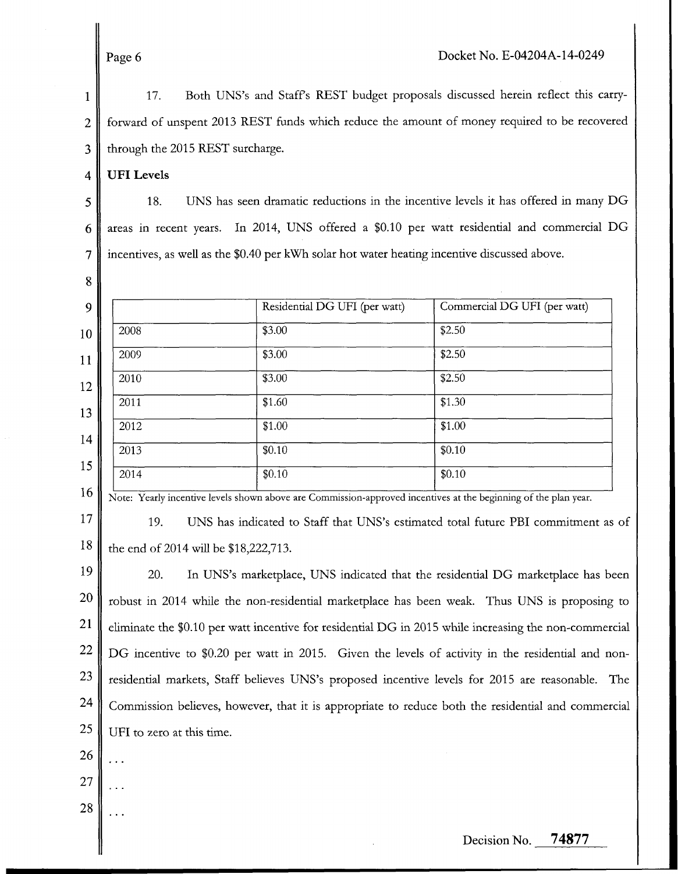1 2 3 17. Both UNS's and Staffs REST budget proposals discussed herein reflect this carryforward of unspent 2013 REST funds which reduce the amount of money required to be recovered through the 2015 REST surcharge.

4 **UFI Levels** 

**8** 

5 6 7 18. UNS has seen dramatic reductions in the incentive levels it has offered in many DG areas in recent years. In 2014, UNS offered a \$0.10 per watt residential and commercial DG incentives, as well as the \$0.40 per kWh solar hot water heating incentive discussed above.

|      | Residential DG UFI (per watt) | Commercial DG UFI (per watt) |
|------|-------------------------------|------------------------------|
| 2008 | \$3.00                        | \$2.50                       |
| 2009 | \$3.00                        | \$2.50                       |
| 2010 | \$3.00                        | \$2.50                       |
| 2011 | \$1.60                        | \$1.30                       |
| 2012 | \$1.00                        | \$1.00                       |
| 2013 | \$0.10                        | \$0.10                       |
| 2014 | \$0.10                        | \$0.10                       |

Note: Yearly incentive levels shown above are Commission-approved incentives at the beginning of the plan year.

17 18 19. UNS has indicated to Staff that UNS's estimated total future PBI commitment as of the end of 2014 will be \$18,222,713.

19 20 21 22 23 24 25 20. In UNS's marketplace, UNS indicated that the residential DG marketplace has been robust in 2014 whle the non-residential marketplace has been weak. Thus UNS is proposing to eliminate the \$0.10 per watt incentive for residential DG in 2015 while increasing the non-commercial DG incentive to \$0.20 per watt in 2015. Given the levels of activity in the residential and nonresidential markets, Staff believes UNS's proposed incentive levels for 2015 are reasonable. The Commission believes, however, that it is appropriate to reduce both the residential and commercial UFI to zero at this time.

26 ...

- 27 ...
- 28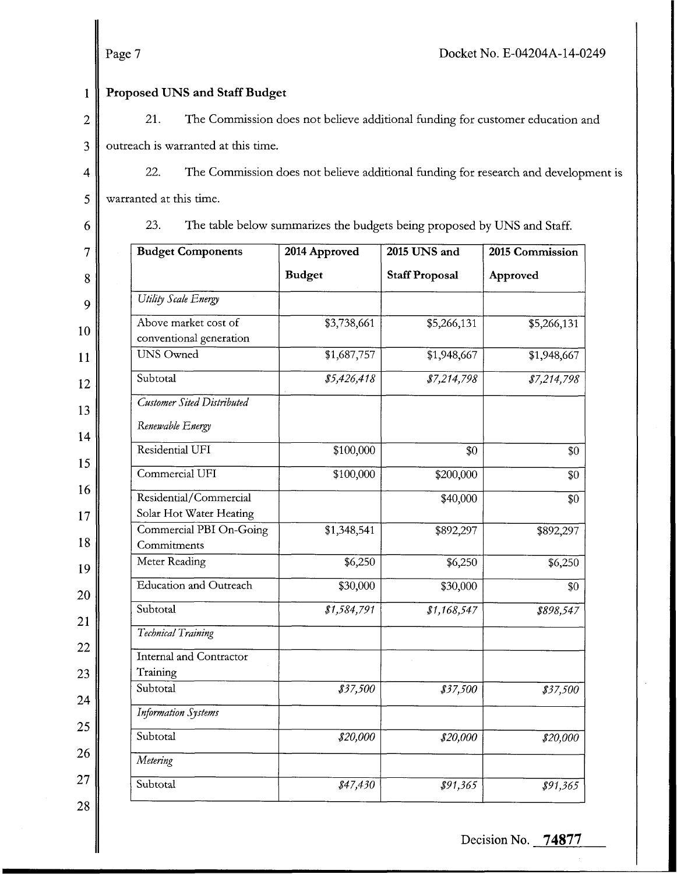Page 7

#### 1 Proposed UNS and Staff Budget

- 2 **3**  21. The Commission does not believe additional funding for customer education and outreach is warranted at this time.
- 4 *5*  22. The Commission does not believe additional funding for research and development is warranted at this time.

6

23. The table below summarizes the budgets being proposed by UNS and Staff.

| 7  | <b>Budget Components</b>                        | 2014 Approved   | 2015 UNS and          | 2015 Commission |
|----|-------------------------------------------------|-----------------|-----------------------|-----------------|
| 8  |                                                 | <b>Budget</b>   | <b>Staff Proposal</b> | Approved        |
| 9  | <b>Utility Scale Energy</b>                     |                 |                       |                 |
| 10 | Above market cost of<br>conventional generation | \$3,738,661     | \$5,266,131           | \$5,266,131     |
| 11 | <b>UNS Owned</b>                                | \$1,687,757     | \$1,948,667           | \$1,948,667     |
| 12 | Subtotal                                        | \$5,426,418     | \$7,214,798           | \$7,214,798     |
| 13 | <b>Customer Sited Distributed</b>               |                 |                       |                 |
| 14 | Renewable Energy                                |                 |                       |                 |
|    | Residential UFI                                 | \$100,000       | \$0                   | \$0             |
| 15 | Commercial UFI                                  | \$100,000       | \$200,000             | \$0             |
| 16 | Residential/Commercial                          |                 | \$40,000              | \$0             |
| 17 | Solar Hot Water Heating                         |                 |                       |                 |
| 18 | Commercial PBI On-Going<br>Commitments          | \$1,348,541     | \$892,297             | \$892,297       |
| 19 | Meter Reading                                   | $\sqrt{$6,250}$ | \$6,250               | \$6,250         |
| 20 | Education and Outreach                          | \$30,000        | \$30,000              | \$0             |
| 21 | Subtotal                                        | \$1,584,791     | \$1,168,547           | \$898,547       |
|    | Technical Training                              |                 |                       |                 |
| 22 | Internal and Contractor                         |                 |                       |                 |
| 23 | Training                                        |                 |                       |                 |
| 24 | Subtotal                                        | \$37,500        | \$37,500              | \$37,500        |
|    | <b>Information Systems</b>                      |                 |                       |                 |
| 25 | Subtotal                                        | \$20,000        | \$20,000              | \$20,000        |
| 26 | Metering                                        |                 |                       |                 |
| 27 | Subtotal                                        | \$47,430        | \$91,365              | \$91,365        |
| 28 |                                                 |                 |                       |                 |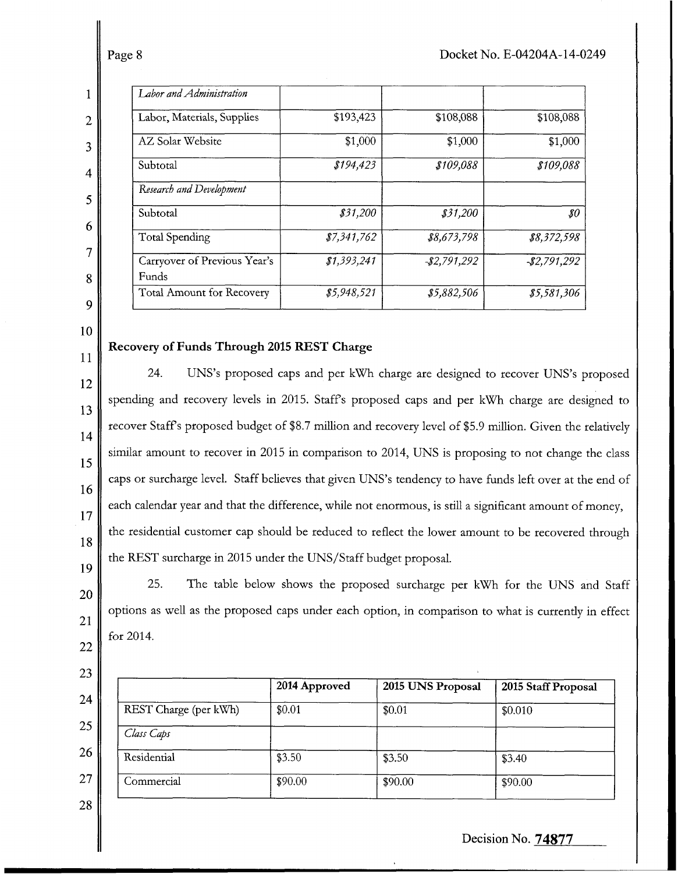2

3

4

*5* 

6

7

8

9

| Labor and Administration              |             |              |                            |
|---------------------------------------|-------------|--------------|----------------------------|
| Labor, Materials, Supplies            | \$193,423   | \$108,088    | \$108,088                  |
| AZ Solar Website                      | \$1,000     | \$1,000      | \$1,000                    |
| Subtotal                              | \$194,423   | \$109,088    | \$109,088                  |
| Research and Development              |             |              |                            |
| Subtotal                              | \$31,200    | \$31,200     | $\boldsymbol{\mathit{so}}$ |
| <b>Total Spending</b>                 | \$7,341,762 | \$8,673,798  | \$8,372,598                |
| Carryover of Previous Year's<br>Funds | \$1,393,241 | $-2,791,292$ | $-2,791,292$               |
| <b>Total Amount for Recovery</b>      | \$5,948,521 | \$5,882,506  | \$5,581,306                |
|                                       |             |              |                            |

#### 10

11

12

13

14

15

16

17

18

19

20

21

22

### **Recovery of Funds Through 2015 REST Charge**

24. UNS's proposed caps and per **kwh** charge are designed to recover UNS's proposed spending and recovery levels in 2015. Staffs proposed caps and per **kwh** charge are designed to recover Staff's proposed budget of \$8.7 million and recovery level of \$5.9 million. Given the relatively similar amount to recover in 2015 in comparison to 2014, UNS is proposing to not change the class caps or surcharge level. Staff believes that given UNS's tendency to have funds left over at the end of each calendar year and that the difference, while not enormous, is still a significant amount of money, the residential customer cap should be reduced to reflect the lower amount to be recovered through the REST surcharge in 2015 under the UNS/Staff budget proposal.

25. The table below shows the proposed surcharge per **kwh** for the UNS and Staff options as well as the proposed caps under each option, in comparison to what is currently in effect for 2014.

|                       | 2014 Approved | 2015 UNS Proposal | 2015 Staff Proposal |
|-----------------------|---------------|-------------------|---------------------|
| REST Charge (per kWh) | \$0.01        | \$0.01            | \$0.010             |
| Class Caps            |               |                   |                     |
| Residential           | \$3.50        | \$3.50            | \$3.40              |
| Commercial            | \$90.00       | \$90.00           | \$90.00             |

28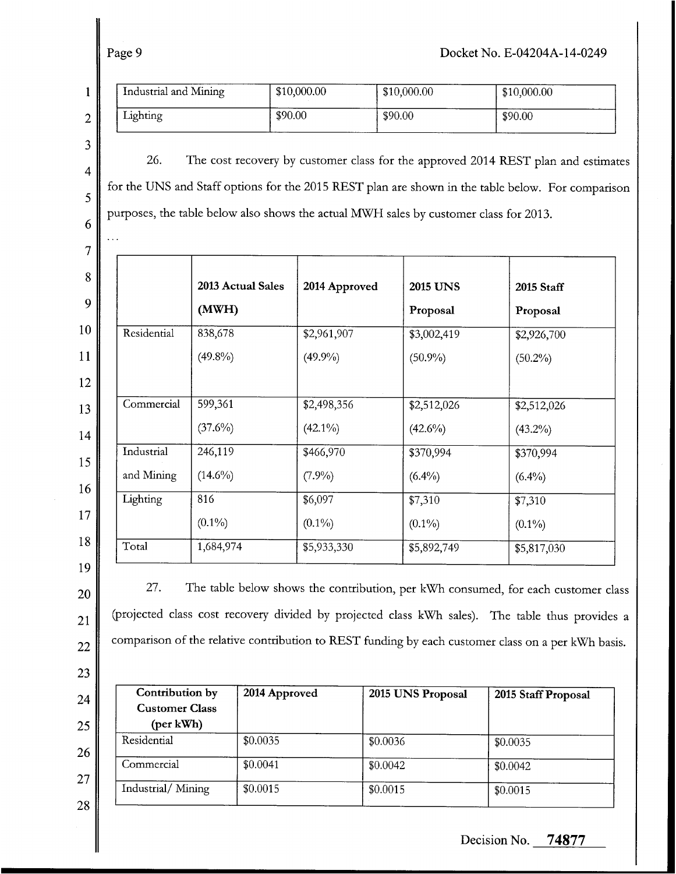## Page 9 **Docket** No. E-04204A-14-0249

|                | Industrial and Mining |                       | \$10,000.00               | \$10,000.00                                                                           | \$10,000.00                                                                                                                                                                                                                                                                                |
|----------------|-----------------------|-----------------------|---------------------------|---------------------------------------------------------------------------------------|--------------------------------------------------------------------------------------------------------------------------------------------------------------------------------------------------------------------------------------------------------------------------------------------|
| $\overline{2}$ | Lighting              |                       | \$90.00                   | \$90.00                                                                               | \$90.00                                                                                                                                                                                                                                                                                    |
| 3<br>4         | 26.                   |                       |                           |                                                                                       | The cost recovery by customer class for the approved 2014 REST plan and estimates                                                                                                                                                                                                          |
|                |                       |                       |                           | purposes, the table below also shows the actual MWH sales by customer class for 2013. | for the UNS and Staff options for the 2015 REST plan are shown in the table below. For comparison                                                                                                                                                                                          |
|                |                       | 2013 Actual Sales     | 2014 Approved             | <b>2015 UNS</b>                                                                       | 2015 Staff                                                                                                                                                                                                                                                                                 |
|                |                       | (MWH)                 |                           | Proposal                                                                              | Proposal                                                                                                                                                                                                                                                                                   |
|                | Residential           | 838,678               | \$2,961,907               | \$3,002,419                                                                           | \$2,926,700                                                                                                                                                                                                                                                                                |
|                |                       | $(49.8\%)$            | (49.9%)                   | $(50.9\%)$                                                                            | $(50.2\%)$                                                                                                                                                                                                                                                                                 |
|                | Commercial            | 599,361<br>$(37.6\%)$ | \$2,498,356<br>$(42.1\%)$ | \$2,512,026<br>$(42.6\%)$                                                             | \$2,512,026<br>$(43.2\%)$                                                                                                                                                                                                                                                                  |
|                | Industrial            | 246,119               | \$466,970                 | \$370,994                                                                             | \$370,994                                                                                                                                                                                                                                                                                  |
|                | and Mining            | $(14.6\%)$            | $(7.9\%)$                 | $(6.4\%)$                                                                             | $(6.4\%)$                                                                                                                                                                                                                                                                                  |
|                | Lighting              | 816                   | \$6,097                   | \$7,310                                                                               | \$7,310                                                                                                                                                                                                                                                                                    |
|                |                       | $(0.1\%)$             | $(0.1\%)$                 | $(0.1\%)$                                                                             | $(0.1\%)$                                                                                                                                                                                                                                                                                  |
|                | Total                 | 1,684,974             | \$5,933,330               | \$5,892,749                                                                           | \$5,817,030                                                                                                                                                                                                                                                                                |
|                | 27.                   |                       |                           |                                                                                       | The table below shows the contribution, per kWh consumed, for each customer class<br>(projected class cost recovery divided by projected class kWh sales). The table thus provides a<br>comparison of the relative contribution to REST funding by each customer class on a per kWh basis. |

| 2014 Approved | 2015 UNS Proposal | 2015 Staff Proposal |
|---------------|-------------------|---------------------|
| \$0.0035      | \$0.0036          | \$0.0035            |
| \$0.0041      | \$0.0042          | \$0.0042            |
| \$0.0015      | \$0.0015          | \$0.0015            |
|               |                   |                     |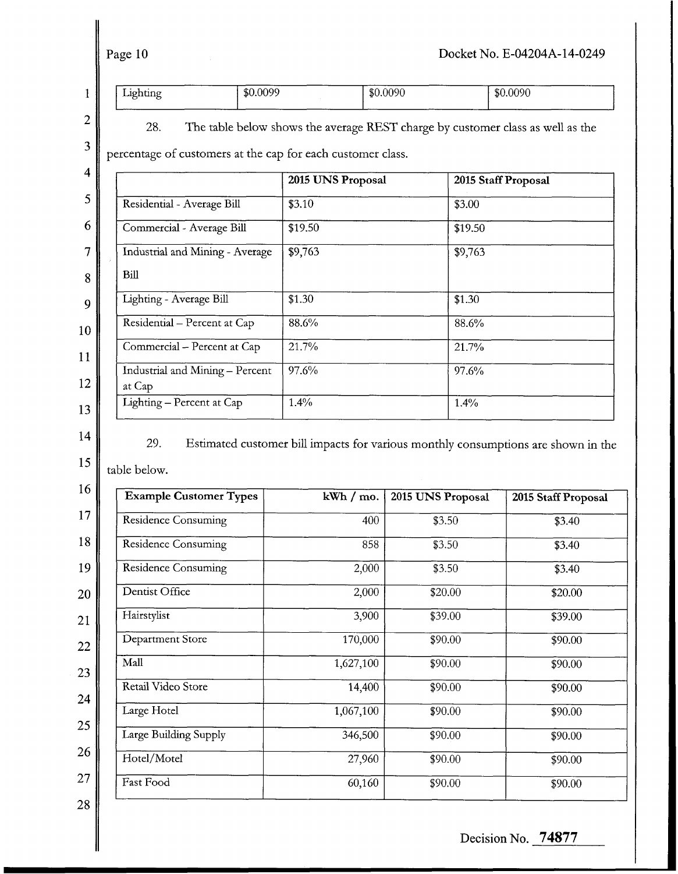Page 10

28.

|  | <b>Service</b><br>$10h$ tino<br>-42<br>enune<br>◡ | .0099<br>ብተ በ<br>mu | .0090<br>\$0 | \$0,0090   |
|--|---------------------------------------------------|---------------------|--------------|------------|
|  | _________                                         | -----               | ______       | ---------- |

**2** 

**3** 

The table below shows the average REST charge by customer class as well as the

percentage of customers at the cap for each customer class.

|                                           | 2015 UNS Proposal | 2015 Staff Proposal |
|-------------------------------------------|-------------------|---------------------|
| Residential - Average Bill                | \$3.10            | \$3.00              |
| Commercial - Average Bill                 | \$19.50           | \$19.50             |
| Industrial and Mining - Average           | $\sqrt{$9,763}$   | \$9,763             |
| Bill                                      |                   |                     |
| Lighting - Average Bill                   | \$1.30            | \$1.30              |
| Residential - Percent at Cap              | 88.6%             | 88.6%               |
| Commercial - Percent at Cap               | 21.7%             | 21.7%               |
| Industrial and Mining - Percent<br>at Cap | 97.6%             | 97.6%               |
| Lighting - Percent at Cap                 | 1.4%              | 1.4%                |

**14** 

29. Estimated customer bill impacts for various monthly consumptions are shown in the

**15**  table below.

| <b>Example Customer Types</b> | kWh / mo. | 2015 UNS Proposal | 2015 Staff Proposal |
|-------------------------------|-----------|-------------------|---------------------|
| <b>Residence Consuming</b>    | 400       | \$3.50            | \$3.40              |
| Residence Consuming           | 858       | \$3.50            | \$3.40              |
| <b>Residence Consuming</b>    | 2,000     | \$3.50            | \$3.40              |
| Dentist Office                | 2,000     | \$20.00           | \$20.00             |
| Hairstylist                   | 3,900     | \$39.00           | \$39.00             |
| Department Store              | 170,000   | \$90.00           | \$90.00             |
| Mall                          | 1,627,100 | \$90.00           | \$90.00             |
| Retail Video Store            | 14,400    | \$90.00           | \$90.00             |
| Large Hotel                   | 1,067,100 | \$90.00           | \$90.00             |
| Large Building Supply         | 346,500   | \$90.00           | \$90.00             |
| Hotel/Motel                   | 27,960    | \$90.00           | \$90.00             |
| Fast Food                     | 60,160    | \$90.00           | \$90.00             |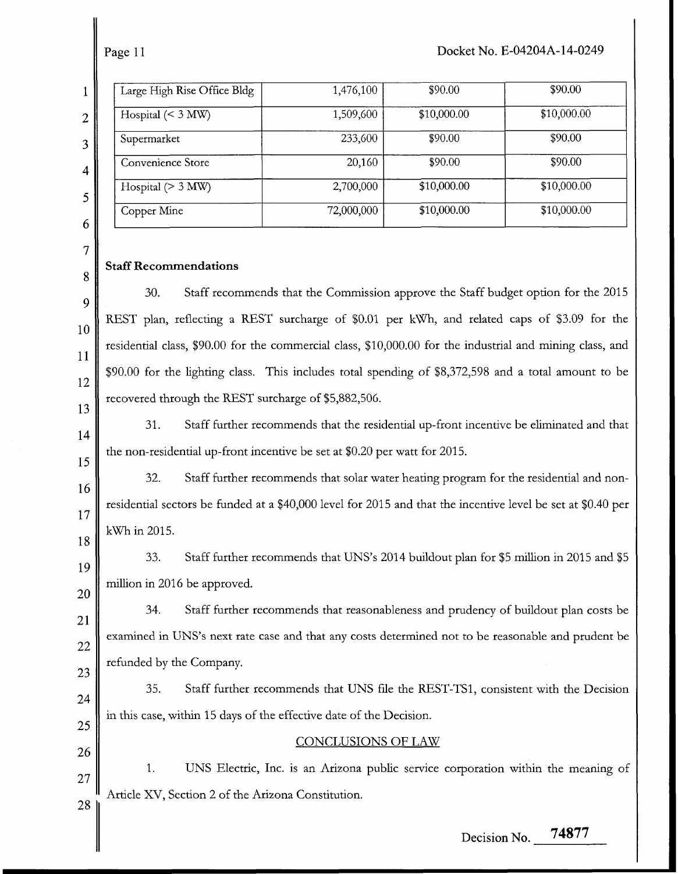| ı      |
|--------|
|        |
| ĵ<br>í |
|        |

| Large High Rise Office Bldg | 1,476,100  | \$90.00     | \$90.00     |
|-----------------------------|------------|-------------|-------------|
| Hospital $(< 3$ MW)         | 1,509,600  | \$10,000.00 | \$10,000.00 |
| Supermarket                 | 233,600    | \$90.00     | \$90.00     |
| Convenience Store           | 20,160     | \$90.00     | \$90.00     |
| Hospital $(> 3$ MW)         | 2,700,000  | \$10,000.00 | \$10,000.00 |
| Copper Mine                 | 72,000,000 | \$10,000.00 | \$10,000.00 |

# 7 8 9 10 11

12 13

14

15

16

17

18

## **Staff Recommendations**

30. Staff recommends that the Commission approve the Staff budget option for the 2015 REST plan, reflecting a REST surcharge of \$0.01 per **kWh,** and related caps of \$3.09 for the residential class, \$90.00 for the commercial class, \$10,000.00 for the industrial and mining class, and \$90.00 for the lighting class. This includes total spending of \$8,372,598 and a total amount to be recovered through the REST surcharge of \$5,882,506.

31. Staff further recommends that the residential up-front incentive be eliminated and that the non-residential up-front incentive be set at \$0.20 per watt for 2015.

32. Staff further recommends that solar water heating program for the residential and nonresidential sectors be funded at a \$40,000 level for 2015 and that the incentive level be set at \$0.40 per **kwh** in 2015.

19 20 33. Staff further recommends that UNS's 2014 buildout plan for \$5 million in 2015 and \$5 million in 2016 be approved.

21 22 23 34. Staff further recommends that reasonableness and prudency of buildout plan costs be examined in UNS's next rate case and that any costs determined not to be reasonable and prudent be refunded by the Company.

24 25 35. Staff further recommends that UNS file the REST-TS1, consistent with the Decision in this case, within 15 days of the effective date of the Decision.

## 26

CONCLUSIONS OF LAW

1. UNS Electric, Inc. is an Arizona public service corporation within the meaning of 27 Article XV. Section 2 of the Arizona Constitution. 28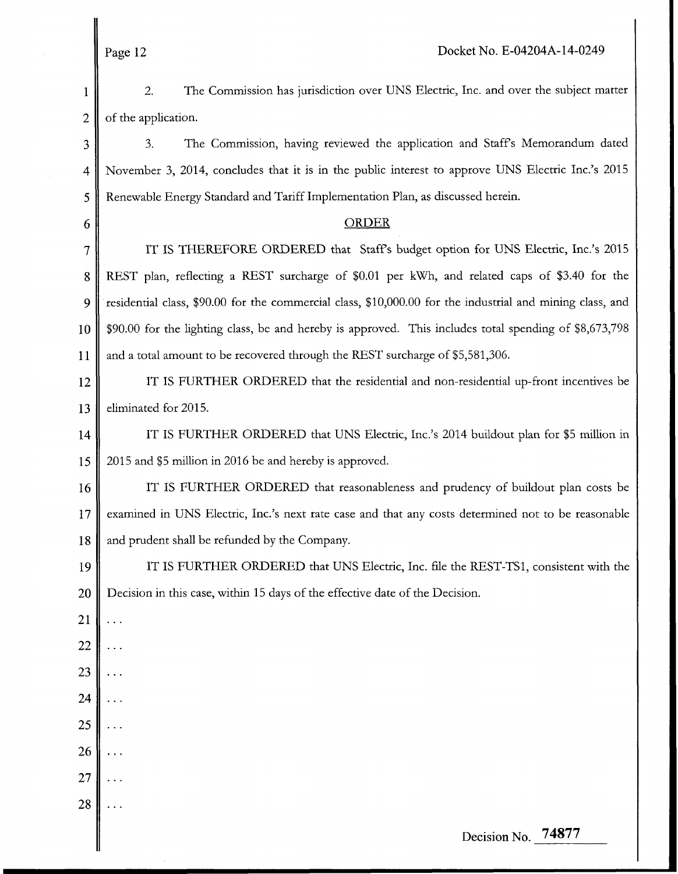1 2 2. of the application. The Commission has jurisdiction over UNS Electric, Inc. and over the subject matter

3 4 5 3. The Commission, having reviewed the application and Staffs Memorandum dated November 3, 2014, concludes that it is in the public interest to approve UNS Electric Inc.'s 2015 Renewable Energy Standard and Tariff Implementation Plan, as discussed herein.

#### ORDER

7 **8**  9 10 11 IT IS THEREFORE ORDERED that Staffs budget option for UNS Electric, Inc.'s 2015 REST plan, reflecting a REST surcharge of \$0.01 per **kwh,** and related caps of \$3.40 for the residential class, \$90.00 for the commercial class, \$10,000.00 for the industrial and mining class, and \$90.00 for the lighting class, be and hereby is approved. This includes total spending of \$8,673,798 and a total amount to be recovered through the REST surcharge of \$5,581,306.

12 13 IT IS FURTHER ORDERED that the residential and non-residential up-front incentives be eliminated for 2015.

14 15 IT IS FURTHER ORDERED that UNS Electric, Inc.'s 2014 buildout plan for \$5 million in 2015 and \$5 million in 2016 be and hereby is approved.

16 17 **18**  IT IS FURTHER ORDERED that reasonableness and prudency of buildout plan costs be examined in UNS Electric, Inc.'s next rate case and that any costs determined not to be reasonable and prudent shall be refunded by the Company.

19 20 IT IS FURTHER ORDERED that UNS Electric, Inc. file the REST-TS1, consistent with the Decision in this case, within 15 days of the effective date of the Decision.

21 ...

22 ...

23 ...

24 ...

25 ...

26 ...

*27*  ...

28 ...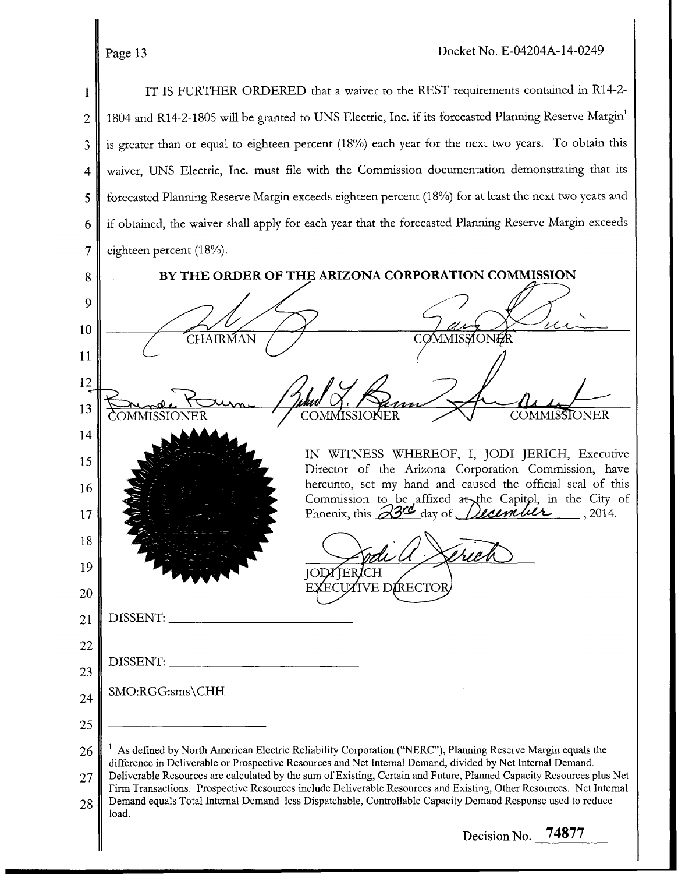IT IS FURTHER ORDERED that a waiver to the REST requirements contained in R14-2- 1 1804 and R14-2-1805 will be granted to UNS Electric, Inc. if its forecasted Planning Reserve Margin<sup>1</sup> 2 is greater than or equal to eighteen percent (18%) each year for the next two years. To obtain this 3 waiver, UNS Electric, Inc. must file with the Commission documentation demonstrating that its 4 forecasted Planning Reserve Margin exceeds eighteen percent (18%) for at least the next two years and 5 if obtained, the waiver shall apply for each year that the forecasted Planning Reserve Margin exceeds 6 7 eighteen percent (18%). BY THE ORDER OF THE ARIZONA CORPORATION COMMISSION 8 9 10 CHAIRMAN 11 12 **c c** 13 COMMISSIONER 14 IN WITNESS WHEREOF, I, JODI JERICH, Executive 15 Director of the Arizona Corporation Commission, have hereunto, set my hand and caused the official seal of this 16 Reference, set my hand and caused the Official sear of the<br>Commission to be affixed at the Capitol, in the City<br>Phoenix, this <u>23<sup>nd</sup></u> day of *Bloumult*, 2014. Commission to be affixed at the Capit pl, in the City of 17 18 19 TEF ЮI 'IVE DIRECTOI 20 DISSENT: 21 22 DISSENT: 23 SMO:RGG:sms\CHH 24 25 **As** defined by North American Electric Reliability Corporation ("NERC"), Planning Reserve Margin equals the 26 difference in Deliverable or Prospective Resources and Net Internal Demand, divided by Net Internal Demand. Deliverable Resources are calculated by the sum of Existing, Certain and Future, Planned Capacity Resources plus Net 27 Firm Transactions. Prospective Resources include Deliverable Resources and Existing, Other Resources. Net Internal Demand equals Total Internal Demand less Dispatchable, Controllable Capacity Demand Response used to reduce 28 load. Decision No. **74877**